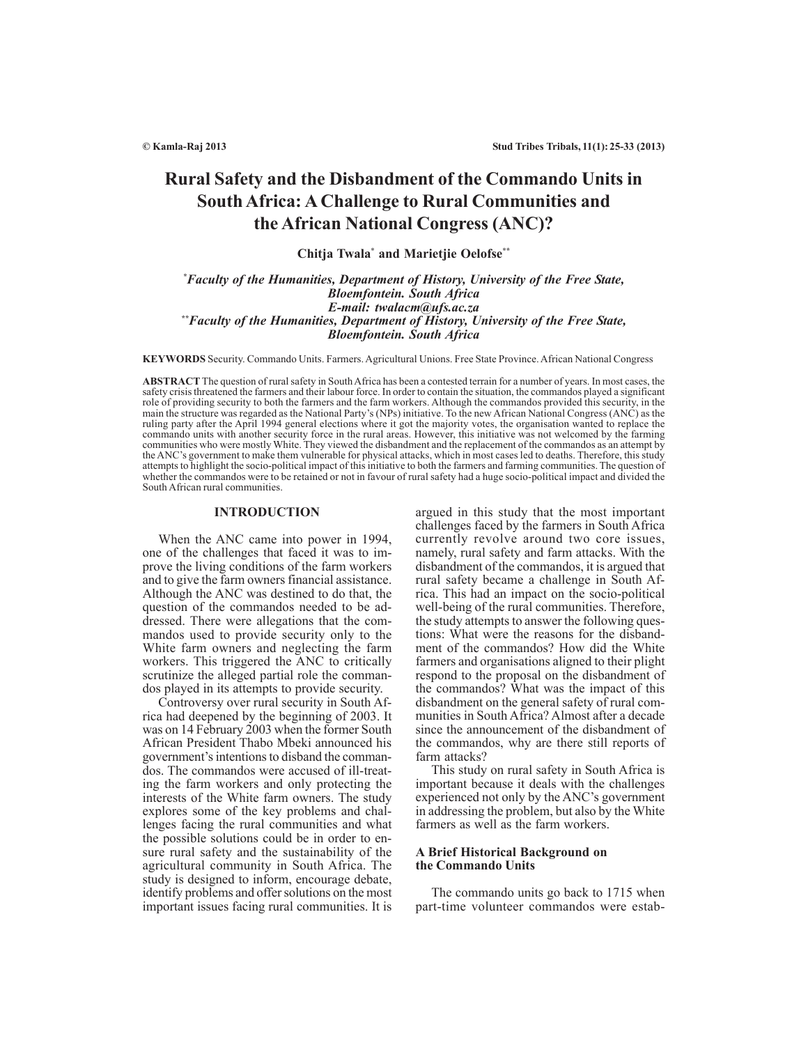# **Rural Safety and the Disbandment of the Commando Units in South Africa: A Challenge to Rural Communities and the African National Congress (ANC)?**

## **Chitja Twala\* and Marietjie Oelofse\*\***

*\*Faculty of the Humanities, Department of History, University of the Free State, Bloemfontein. South Africa E-mail: twalacm@ufs.ac.za \*\*Faculty of the Humanities, Department of History, University of the Free State, Bloemfontein. South Africa*

**KEYWORDS** Security. Commando Units. Farmers. Agricultural Unions. Free State Province. African National Congress

**ABSTRACT**The question of rural safety in South Africa has been a contested terrain for a number of years. In most cases, the safety crisis threatened the farmers and their labour force. In order to contain the situation, the commandos played a significant role of providing security to both the farmers and the farm workers. Although the commandos provided this security, in the main the structure was regarded as the National Party's (NPs) initiative. To the new African National Congress (ANC) as the ruling party after the April 1994 general elections where it got the majority votes, the organisation wanted to replace the commando units with another security force in the rural areas. However, this initiative was not welcomed by the farming communities who were mostly White. They viewed the disbandment and the replacement of the commandos as an attempt by the ANC's government to make them vulnerable for physical attacks, which in most cases led to deaths. Therefore, this study attempts to highlight the socio-political impact of this initiative to both the farmers and farming communities. The question of whether the commandos were to be retained or not in favour of rural safety had a huge socio-political impact and divided the South African rural communities.

#### **INTRODUCTION**

When the ANC came into power in 1994, one of the challenges that faced it was to improve the living conditions of the farm workers and to give the farm owners financial assistance. Although the ANC was destined to do that, the question of the commandos needed to be addressed. There were allegations that the commandos used to provide security only to the White farm owners and neglecting the farm workers. This triggered the ANC to critically scrutinize the alleged partial role the commandos played in its attempts to provide security.

Controversy over rural security in South Africa had deepened by the beginning of 2003. It was on 14 February 2003 when the former South African President Thabo Mbeki announced his government's intentions to disband the commandos. The commandos were accused of ill-treating the farm workers and only protecting the interests of the White farm owners. The study explores some of the key problems and challenges facing the rural communities and what the possible solutions could be in order to ensure rural safety and the sustainability of the agricultural community in South Africa. The study is designed to inform, encourage debate, identify problems and offer solutions on the most important issues facing rural communities. It is

argued in this study that the most important challenges faced by the farmers in South Africa currently revolve around two core issues, namely, rural safety and farm attacks. With the disbandment of the commandos, it is argued that rural safety became a challenge in South Africa. This had an impact on the socio-political well-being of the rural communities. Therefore, the study attempts to answer the following questions: What were the reasons for the disbandment of the commandos? How did the White farmers and organisations aligned to their plight respond to the proposal on the disbandment of the commandos? What was the impact of this disbandment on the general safety of rural communities in South Africa? Almost after a decade since the announcement of the disbandment of the commandos, why are there still reports of farm attacks?

This study on rural safety in South Africa is important because it deals with the challenges experienced not only by the ANC's government in addressing the problem, but also by the White farmers as well as the farm workers.

#### **A Brief Historical Background on the Commando Units**

The commando units go back to 1715 when part-time volunteer commandos were estab-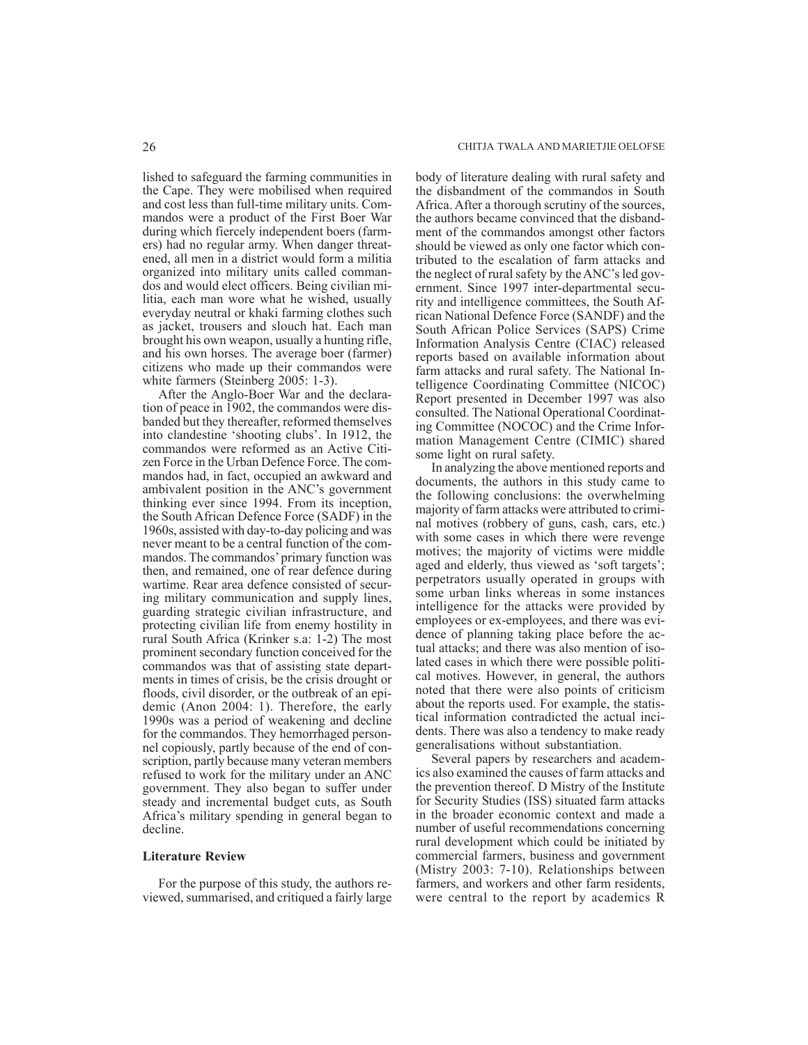lished to safeguard the farming communities in the Cape. They were mobilised when required and cost less than full-time military units. Commandos were a product of the First Boer War during which fiercely independent boers (farmers) had no regular army. When danger threatened, all men in a district would form a militia organized into military units called commandos and would elect officers. Being civilian militia, each man wore what he wished, usually everyday neutral or khaki farming clothes such as jacket, trousers and slouch hat. Each man brought his own weapon, usually a hunting rifle, and his own horses. The average boer (farmer) citizens who made up their commandos were white farmers (Steinberg 2005: 1-3).

After the Anglo-Boer War and the declaration of peace in 1902, the commandos were disbanded but they thereafter, reformed themselves into clandestine 'shooting clubs'. In 1912, the commandos were reformed as an Active Citizen Force in the Urban Defence Force. The commandos had, in fact, occupied an awkward and ambivalent position in the ANC's government thinking ever since 1994. From its inception, the South African Defence Force (SADF) in the 1960s, assisted with day-to-day policing and was never meant to be a central function of the commandos. The commandos' primary function was then, and remained, one of rear defence during wartime. Rear area defence consisted of securing military communication and supply lines, guarding strategic civilian infrastructure, and protecting civilian life from enemy hostility in rural South Africa (Krinker s.a: 1-2) The most prominent secondary function conceived for the commandos was that of assisting state departments in times of crisis, be the crisis drought or floods, civil disorder, or the outbreak of an epidemic (Anon 2004: 1). Therefore, the early 1990s was a period of weakening and decline for the commandos. They hemorrhaged personnel copiously, partly because of the end of conscription, partly because many veteran members refused to work for the military under an ANC government. They also began to suffer under steady and incremental budget cuts, as South Africa's military spending in general began to decline.

## **Literature Review**

For the purpose of this study, the authors reviewed, summarised, and critiqued a fairly large body of literature dealing with rural safety and the disbandment of the commandos in South Africa. After a thorough scrutiny of the sources, the authors became convinced that the disbandment of the commandos amongst other factors should be viewed as only one factor which contributed to the escalation of farm attacks and the neglect of rural safety by the ANC's led government. Since 1997 inter-departmental security and intelligence committees, the South African National Defence Force (SANDF) and the South African Police Services (SAPS) Crime Information Analysis Centre (CIAC) released reports based on available information about farm attacks and rural safety. The National Intelligence Coordinating Committee (NICOC) Report presented in December 1997 was also consulted. The National Operational Coordinating Committee (NOCOC) and the Crime Information Management Centre (CIMIC) shared some light on rural safety.

In analyzing the above mentioned reports and documents, the authors in this study came to the following conclusions: the overwhelming majority of farm attacks were attributed to criminal motives (robbery of guns, cash, cars, etc.) with some cases in which there were revenge motives; the majority of victims were middle aged and elderly, thus viewed as 'soft targets'; perpetrators usually operated in groups with some urban links whereas in some instances intelligence for the attacks were provided by employees or ex-employees, and there was evidence of planning taking place before the actual attacks; and there was also mention of isolated cases in which there were possible political motives. However, in general, the authors noted that there were also points of criticism about the reports used. For example, the statistical information contradicted the actual incidents. There was also a tendency to make ready generalisations without substantiation.

Several papers by researchers and academics also examined the causes of farm attacks and the prevention thereof. D Mistry of the Institute for Security Studies (ISS) situated farm attacks in the broader economic context and made a number of useful recommendations concerning rural development which could be initiated by commercial farmers, business and government (Mistry 2003: 7-10). Relationships between farmers, and workers and other farm residents, were central to the report by academics R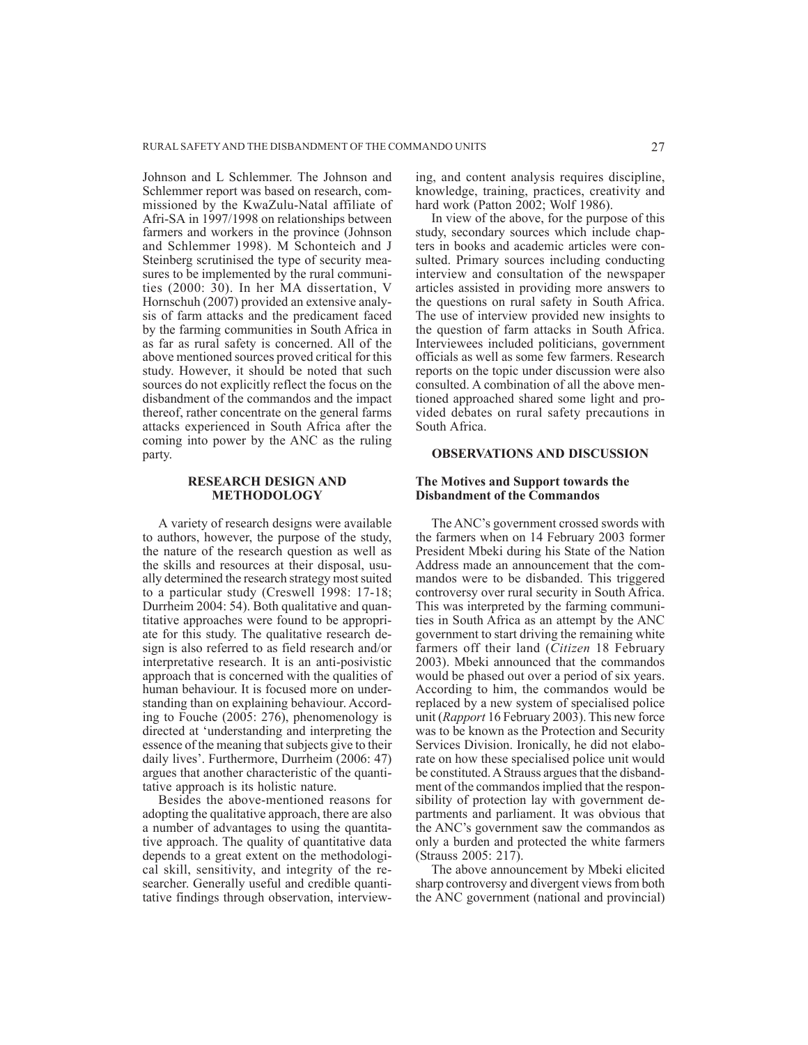Johnson and L Schlemmer. The Johnson and Schlemmer report was based on research, commissioned by the KwaZulu-Natal affiliate of Afri-SA in 1997/1998 on relationships between farmers and workers in the province (Johnson and Schlemmer 1998). M Schonteich and J Steinberg scrutinised the type of security measures to be implemented by the rural communities (2000: 30). In her MA dissertation, V Hornschuh (2007) provided an extensive analysis of farm attacks and the predicament faced by the farming communities in South Africa in as far as rural safety is concerned. All of the above mentioned sources proved critical for this study. However, it should be noted that such sources do not explicitly reflect the focus on the disbandment of the commandos and the impact thereof, rather concentrate on the general farms attacks experienced in South Africa after the coming into power by the ANC as the ruling party.

## **RESEARCH DESIGN AND METHODOLOGY**

A variety of research designs were available to authors, however, the purpose of the study, the nature of the research question as well as the skills and resources at their disposal, usually determined the research strategy most suited to a particular study (Creswell 1998: 17-18; Durrheim 2004: 54). Both qualitative and quantitative approaches were found to be appropriate for this study. The qualitative research design is also referred to as field research and/or interpretative research. It is an anti-posivistic approach that is concerned with the qualities of human behaviour. It is focused more on understanding than on explaining behaviour. According to Fouche (2005: 276), phenomenology is directed at 'understanding and interpreting the essence of the meaning that subjects give to their daily lives'. Furthermore, Durrheim (2006: 47) argues that another characteristic of the quantitative approach is its holistic nature.

Besides the above-mentioned reasons for adopting the qualitative approach, there are also a number of advantages to using the quantitative approach. The quality of quantitative data depends to a great extent on the methodological skill, sensitivity, and integrity of the researcher. Generally useful and credible quantitative findings through observation, interviewing, and content analysis requires discipline, knowledge, training, practices, creativity and hard work (Patton 2002; Wolf 1986).

In view of the above, for the purpose of this study, secondary sources which include chapters in books and academic articles were consulted. Primary sources including conducting interview and consultation of the newspaper articles assisted in providing more answers to the questions on rural safety in South Africa. The use of interview provided new insights to the question of farm attacks in South Africa. Interviewees included politicians, government officials as well as some few farmers. Research reports on the topic under discussion were also consulted. A combination of all the above mentioned approached shared some light and provided debates on rural safety precautions in South Africa.

## **OBSERVATIONS AND DISCUSSION**

## **The Motives and Support towards the Disbandment of the Commandos**

The ANC's government crossed swords with the farmers when on 14 February 2003 former President Mbeki during his State of the Nation Address made an announcement that the commandos were to be disbanded. This triggered controversy over rural security in South Africa. This was interpreted by the farming communities in South Africa as an attempt by the ANC government to start driving the remaining white farmers off their land (*Citizen* 18 February 2003). Mbeki announced that the commandos would be phased out over a period of six years. According to him, the commandos would be replaced by a new system of specialised police unit (*Rapport* 16 February 2003). This new force was to be known as the Protection and Security Services Division. Ironically, he did not elaborate on how these specialised police unit would be constituted. A Strauss argues that the disbandment of the commandos implied that the responsibility of protection lay with government departments and parliament. It was obvious that the ANC's government saw the commandos as only a burden and protected the white farmers (Strauss 2005: 217).

The above announcement by Mbeki elicited sharp controversy and divergent views from both the ANC government (national and provincial)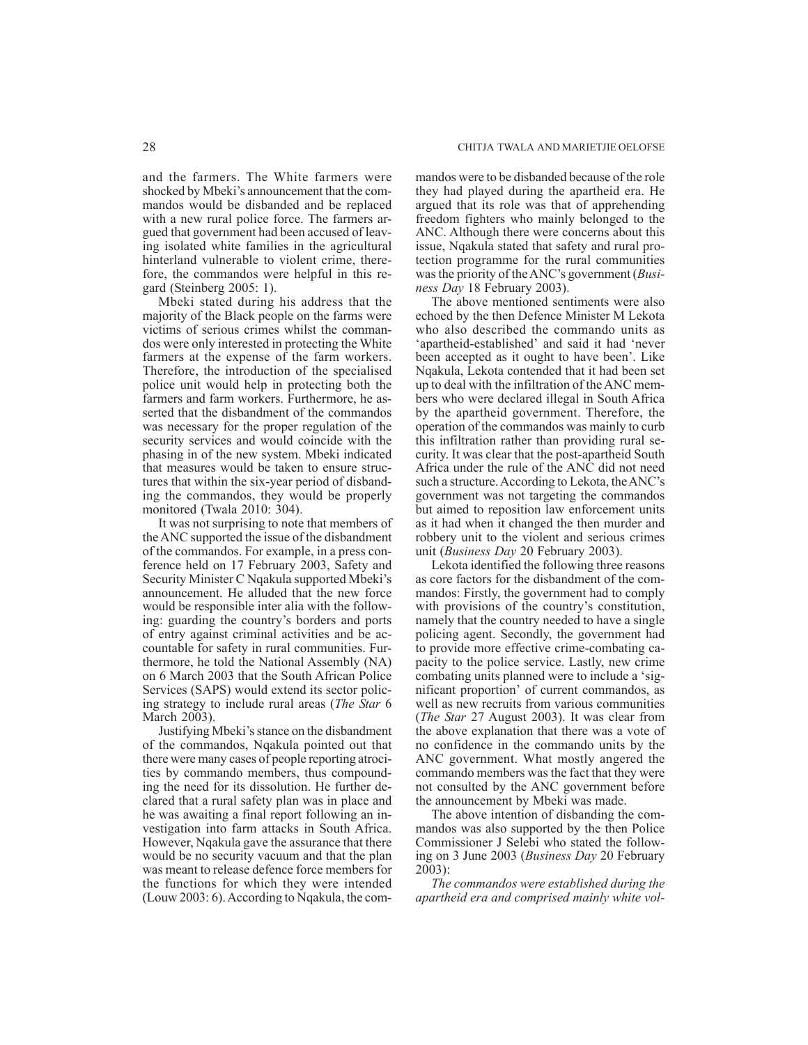and the farmers. The White farmers were shocked by Mbeki's announcement that the commandos would be disbanded and be replaced with a new rural police force. The farmers argued that government had been accused of leaving isolated white families in the agricultural hinterland vulnerable to violent crime, therefore, the commandos were helpful in this regard (Steinberg 2005: 1).

Mbeki stated during his address that the majority of the Black people on the farms were victims of serious crimes whilst the commandos were only interested in protecting the White farmers at the expense of the farm workers. Therefore, the introduction of the specialised police unit would help in protecting both the farmers and farm workers. Furthermore, he asserted that the disbandment of the commandos was necessary for the proper regulation of the security services and would coincide with the phasing in of the new system. Mbeki indicated that measures would be taken to ensure structures that within the six-year period of disbanding the commandos, they would be properly monitored (Twala 2010: 304).

It was not surprising to note that members of the ANC supported the issue of the disbandment of the commandos. For example, in a press conference held on 17 February 2003, Safety and Security Minister C Nqakula supported Mbeki's announcement. He alluded that the new force would be responsible inter alia with the following: guarding the country's borders and ports of entry against criminal activities and be accountable for safety in rural communities. Furthermore, he told the National Assembly (NA) on 6 March 2003 that the South African Police Services (SAPS) would extend its sector policing strategy to include rural areas (*The Star* 6 March 2003).

Justifying Mbeki's stance on the disbandment of the commandos, Nqakula pointed out that there were many cases of people reporting atrocities by commando members, thus compounding the need for its dissolution. He further declared that a rural safety plan was in place and he was awaiting a final report following an investigation into farm attacks in South Africa. However, Nqakula gave the assurance that there would be no security vacuum and that the plan was meant to release defence force members for the functions for which they were intended (Louw 2003: 6). According to Nqakula, the commandos were to be disbanded because of the role they had played during the apartheid era. He argued that its role was that of apprehending freedom fighters who mainly belonged to the ANC. Although there were concerns about this issue, Nqakula stated that safety and rural protection programme for the rural communities was the priority of the ANC's government (*Business Day* 18 February 2003).

The above mentioned sentiments were also echoed by the then Defence Minister M Lekota who also described the commando units as 'apartheid-established' and said it had 'never been accepted as it ought to have been'. Like Nqakula, Lekota contended that it had been set up to deal with the infiltration of the ANC members who were declared illegal in South Africa by the apartheid government. Therefore, the operation of the commandos was mainly to curb this infiltration rather than providing rural security. It was clear that the post-apartheid South Africa under the rule of the ANC did not need such a structure. According to Lekota, the ANC's government was not targeting the commandos but aimed to reposition law enforcement units as it had when it changed the then murder and robbery unit to the violent and serious crimes unit (*Business Day* 20 February 2003).

Lekota identified the following three reasons as core factors for the disbandment of the commandos: Firstly, the government had to comply with provisions of the country's constitution, namely that the country needed to have a single policing agent. Secondly, the government had to provide more effective crime-combating capacity to the police service. Lastly, new crime combating units planned were to include a 'significant proportion' of current commandos, as well as new recruits from various communities (*The Star* 27 August 2003). It was clear from the above explanation that there was a vote of no confidence in the commando units by the ANC government. What mostly angered the commando members was the fact that they were not consulted by the ANC government before the announcement by Mbeki was made.

The above intention of disbanding the commandos was also supported by the then Police Commissioner J Selebi who stated the following on 3 June 2003 (*Business Day* 20 February 2003):

*The commandos were established during the apartheid era and comprised mainly white vol-*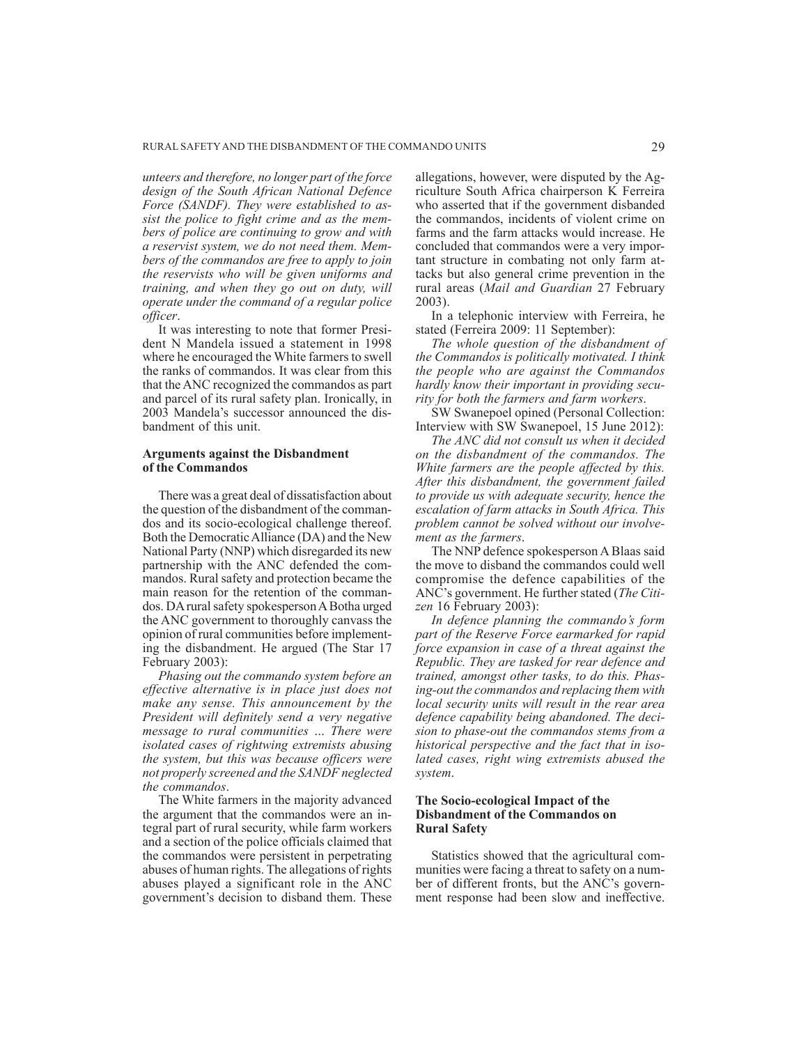*unteers and therefore, no longer part of the force design of the South African National Defence Force (SANDF). They were established to assist the police to fight crime and as the members of police are continuing to grow and with a reservist system, we do not need them. Members of the commandos are free to apply to join the reservists who will be given uniforms and training, and when they go out on duty, will operate under the command of a regular police officer*.

It was interesting to note that former President N Mandela issued a statement in 1998 where he encouraged the White farmers to swell the ranks of commandos. It was clear from this that the ANC recognized the commandos as part and parcel of its rural safety plan. Ironically, in 2003 Mandela's successor announced the disbandment of this unit.

#### **Arguments against the Disbandment of the Commandos**

There was a great deal of dissatisfaction about the question of the disbandment of the commandos and its socio-ecological challenge thereof. Both the Democratic Alliance (DA) and the New National Party (NNP) which disregarded its new partnership with the ANC defended the commandos. Rural safety and protection became the main reason for the retention of the commandos. DA rural safety spokesperson A Botha urged the ANC government to thoroughly canvass the opinion of rural communities before implementing the disbandment. He argued (The Star 17 February 2003):

*Phasing out the commando system before an effective alternative is in place just does not make any sense. This announcement by the President will definitely send a very negative message to rural communities … There were isolated cases of rightwing extremists abusing the system, but this was because officers were not properly screened and the SANDF neglected the commandos*.

The White farmers in the majority advanced the argument that the commandos were an integral part of rural security, while farm workers and a section of the police officials claimed that the commandos were persistent in perpetrating abuses of human rights. The allegations of rights abuses played a significant role in the ANC government's decision to disband them. These allegations, however, were disputed by the Agriculture South Africa chairperson K Ferreira who asserted that if the government disbanded the commandos, incidents of violent crime on farms and the farm attacks would increase. He concluded that commandos were a very important structure in combating not only farm attacks but also general crime prevention in the rural areas (*Mail and Guardian* 27 February 2003).

In a telephonic interview with Ferreira, he stated (Ferreira 2009: 11 September):

*The whole question of the disbandment of the Commandos is politically motivated. I think the people who are against the Commandos hardly know their important in providing security for both the farmers and farm workers*.

SW Swanepoel opined (Personal Collection: Interview with SW Swanepoel, 15 June 2012):

*The ANC did not consult us when it decided on the disbandment of the commandos. The White farmers are the people affected by this. After this disbandment, the government failed to provide us with adequate security, hence the escalation of farm attacks in South Africa. This problem cannot be solved without our involvement as the farmers*.

The NNP defence spokesperson A Blaas said the move to disband the commandos could well compromise the defence capabilities of the ANC's government. He further stated (*The Citizen* 16 February 2003):

*In defence planning the commando's form part of the Reserve Force earmarked for rapid force expansion in case of a threat against the Republic. They are tasked for rear defence and trained, amongst other tasks, to do this. Phasing-out the commandos and replacing them with local security units will result in the rear area defence capability being abandoned. The decision to phase-out the commandos stems from a historical perspective and the fact that in isolated cases, right wing extremists abused the system*.

## **The Socio-ecological Impact of the Disbandment of the Commandos on Rural Safety**

Statistics showed that the agricultural communities were facing a threat to safety on a number of different fronts, but the ANC's government response had been slow and ineffective.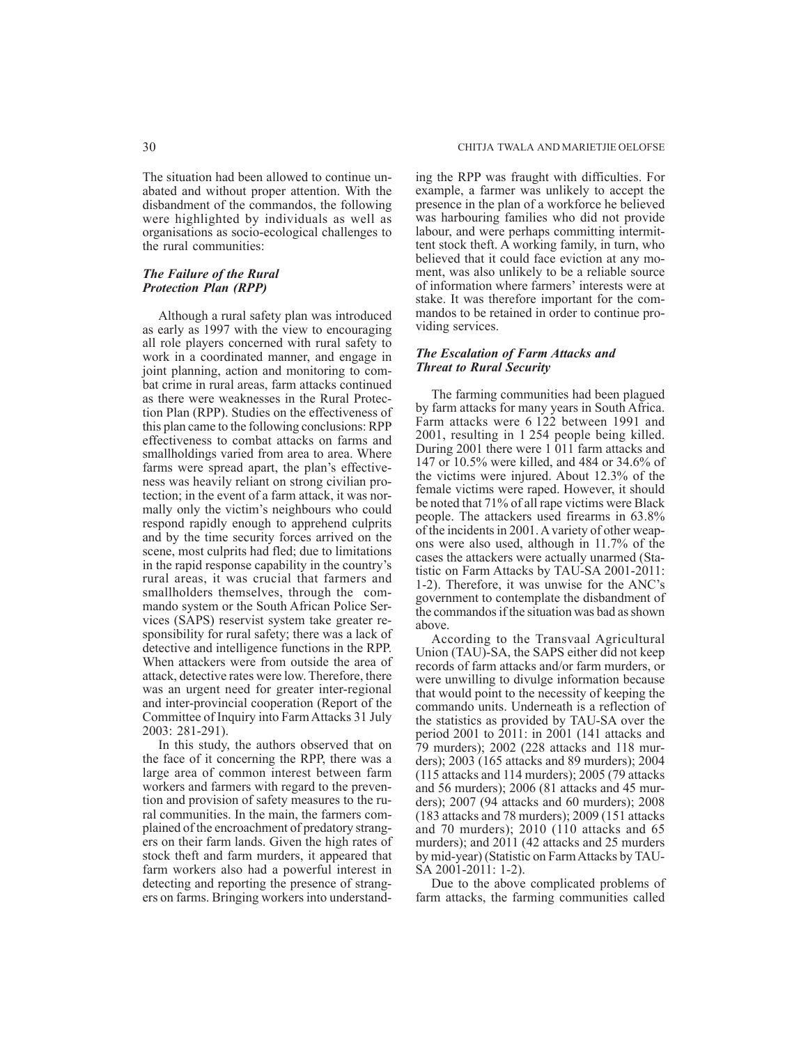The situation had been allowed to continue unabated and without proper attention. With the disbandment of the commandos, the following were highlighted by individuals as well as organisations as socio-ecological challenges to the rural communities:

#### *The Failure of the Rural Protection Plan (RPP)*

Although a rural safety plan was introduced as early as 1997 with the view to encouraging all role players concerned with rural safety to work in a coordinated manner, and engage in joint planning, action and monitoring to combat crime in rural areas, farm attacks continued as there were weaknesses in the Rural Protection Plan (RPP). Studies on the effectiveness of this plan came to the following conclusions: RPP effectiveness to combat attacks on farms and smallholdings varied from area to area. Where farms were spread apart, the plan's effectiveness was heavily reliant on strong civilian protection; in the event of a farm attack, it was normally only the victim's neighbours who could respond rapidly enough to apprehend culprits and by the time security forces arrived on the scene, most culprits had fled; due to limitations in the rapid response capability in the country's rural areas, it was crucial that farmers and smallholders themselves, through the commando system or the South African Police Services (SAPS) reservist system take greater responsibility for rural safety; there was a lack of detective and intelligence functions in the RPP. When attackers were from outside the area of attack, detective rates were low. Therefore, there was an urgent need for greater inter-regional and inter-provincial cooperation (Report of the Committee of Inquiry into Farm Attacks 31 July 2003: 281-291).

In this study, the authors observed that on the face of it concerning the RPP, there was a large area of common interest between farm workers and farmers with regard to the prevention and provision of safety measures to the rural communities. In the main, the farmers complained of the encroachment of predatory strangers on their farm lands. Given the high rates of stock theft and farm murders, it appeared that farm workers also had a powerful interest in detecting and reporting the presence of strangers on farms. Bringing workers into understanding the RPP was fraught with difficulties. For example, a farmer was unlikely to accept the presence in the plan of a workforce he believed was harbouring families who did not provide labour, and were perhaps committing intermittent stock theft. A working family, in turn, who believed that it could face eviction at any moment, was also unlikely to be a reliable source of information where farmers' interests were at stake. It was therefore important for the commandos to be retained in order to continue providing services.

## *The Escalation of Farm Attacks and Threat to Rural Security*

The farming communities had been plagued by farm attacks for many years in South Africa. Farm attacks were 6 122 between 1991 and 2001, resulting in 1 254 people being killed. During 2001 there were 1 011 farm attacks and 147 or 10.5% were killed, and 484 or 34.6% of the victims were injured. About 12.3% of the female victims were raped. However, it should be noted that 71% of all rape victims were Black people. The attackers used firearms in 63.8% of the incidents in 2001. A variety of other weapons were also used, although in 11.7% of the cases the attackers were actually unarmed (Statistic on Farm Attacks by TAU-SA 2001-2011: 1-2). Therefore, it was unwise for the ANC's government to contemplate the disbandment of the commandos if the situation was bad as shown above.

According to the Transvaal Agricultural Union (TAU)-SA, the SAPS either did not keep records of farm attacks and/or farm murders, or were unwilling to divulge information because that would point to the necessity of keeping the commando units. Underneath is a reflection of the statistics as provided by TAU-SA over the period 2001 to 2011: in 2001 (141 attacks and 79 murders); 2002 (228 attacks and 118 murders); 2003 (165 attacks and 89 murders); 2004 (115 attacks and 114 murders); 2005 (79 attacks and 56 murders); 2006 (81 attacks and 45 murders); 2007 (94 attacks and 60 murders); 2008 (183 attacks and 78 murders); 2009 (151 attacks and 70 murders); 2010 (110 attacks and 65 murders); and 2011 (42 attacks and 25 murders by mid-year) (Statistic on Farm Attacks by TAU-SA 2001-2011: 1-2).

Due to the above complicated problems of farm attacks, the farming communities called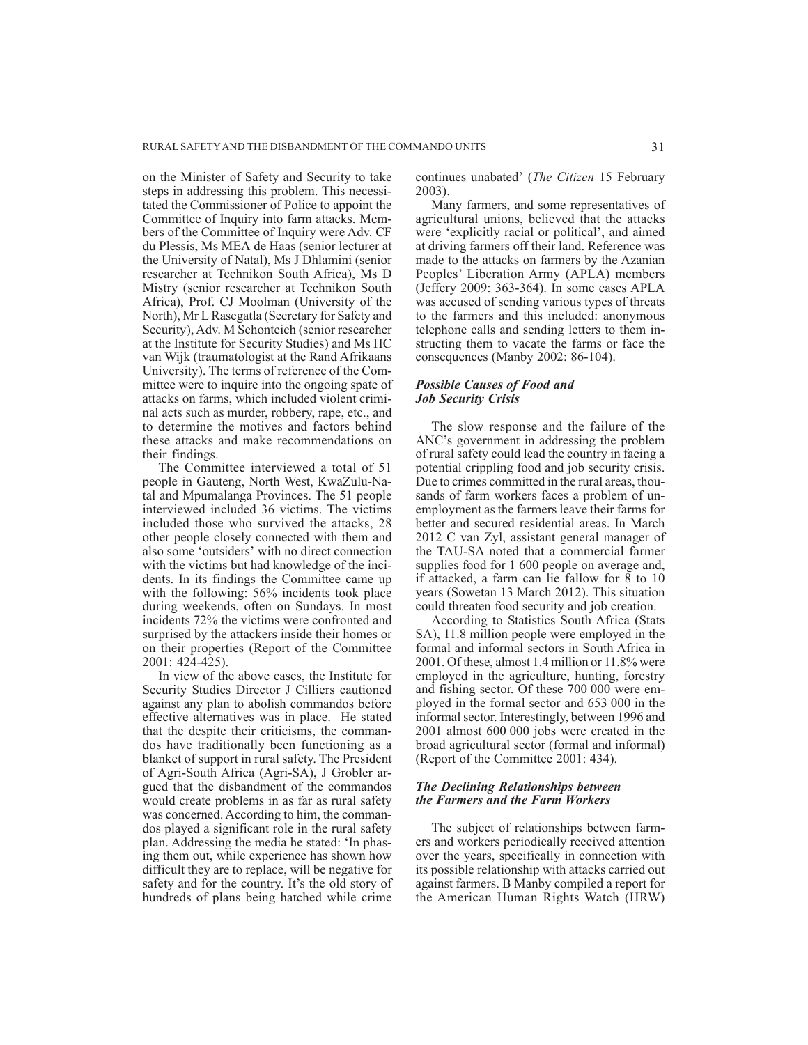on the Minister of Safety and Security to take steps in addressing this problem. This necessitated the Commissioner of Police to appoint the Committee of Inquiry into farm attacks. Members of the Committee of Inquiry were Adv. CF du Plessis, Ms MEA de Haas (senior lecturer at the University of Natal), Ms J Dhlamini (senior researcher at Technikon South Africa), Ms D Mistry (senior researcher at Technikon South Africa), Prof. CJ Moolman (University of the North), Mr L Rasegatla (Secretary for Safety and Security), Adv. M Schonteich (senior researcher at the Institute for Security Studies) and Ms HC van Wijk (traumatologist at the Rand Afrikaans University). The terms of reference of the Committee were to inquire into the ongoing spate of attacks on farms, which included violent criminal acts such as murder, robbery, rape, etc., and to determine the motives and factors behind these attacks and make recommendations on their findings.

The Committee interviewed a total of 51 people in Gauteng, North West, KwaZulu-Natal and Mpumalanga Provinces. The 51 people interviewed included 36 victims. The victims included those who survived the attacks, 28 other people closely connected with them and also some 'outsiders' with no direct connection with the victims but had knowledge of the incidents. In its findings the Committee came up with the following: 56% incidents took place during weekends, often on Sundays. In most incidents 72% the victims were confronted and surprised by the attackers inside their homes or on their properties (Report of the Committee 2001: 424-425).

In view of the above cases, the Institute for Security Studies Director J Cilliers cautioned against any plan to abolish commandos before effective alternatives was in place. He stated that the despite their criticisms, the commandos have traditionally been functioning as a blanket of support in rural safety. The President of Agri-South Africa (Agri-SA), J Grobler argued that the disbandment of the commandos would create problems in as far as rural safety was concerned. According to him, the commandos played a significant role in the rural safety plan. Addressing the media he stated: 'In phasing them out, while experience has shown how difficult they are to replace, will be negative for safety and for the country. It's the old story of hundreds of plans being hatched while crime continues unabated' (*The Citizen* 15 February 2003).

Many farmers, and some representatives of agricultural unions, believed that the attacks were 'explicitly racial or political', and aimed at driving farmers off their land. Reference was made to the attacks on farmers by the Azanian Peoples' Liberation Army (APLA) members (Jeffery 2009: 363-364). In some cases APLA was accused of sending various types of threats to the farmers and this included: anonymous telephone calls and sending letters to them instructing them to vacate the farms or face the consequences (Manby 2002: 86-104).

# *Possible Causes of Food and Job Security Crisis*

The slow response and the failure of the ANC's government in addressing the problem of rural safety could lead the country in facing a potential crippling food and job security crisis. Due to crimes committed in the rural areas, thousands of farm workers faces a problem of unemployment as the farmers leave their farms for better and secured residential areas. In March 2012 C van Zyl, assistant general manager of the TAU-SA noted that a commercial farmer supplies food for 1 600 people on average and, if attacked, a farm can lie fallow for 8 to 10 years (Sowetan 13 March 2012). This situation could threaten food security and job creation.

According to Statistics South Africa (Stats SA), 11.8 million people were employed in the formal and informal sectors in South Africa in 2001. Of these, almost 1.4 million or 11.8% were employed in the agriculture, hunting, forestry and fishing sector. Of these 700 000 were employed in the formal sector and 653 000 in the informal sector. Interestingly, between 1996 and 2001 almost 600 000 jobs were created in the broad agricultural sector (formal and informal) (Report of the Committee 2001: 434).

#### *The Declining Relationships between the Farmers and the Farm Workers*

The subject of relationships between farmers and workers periodically received attention over the years, specifically in connection with its possible relationship with attacks carried out against farmers. B Manby compiled a report for the American Human Rights Watch (HRW)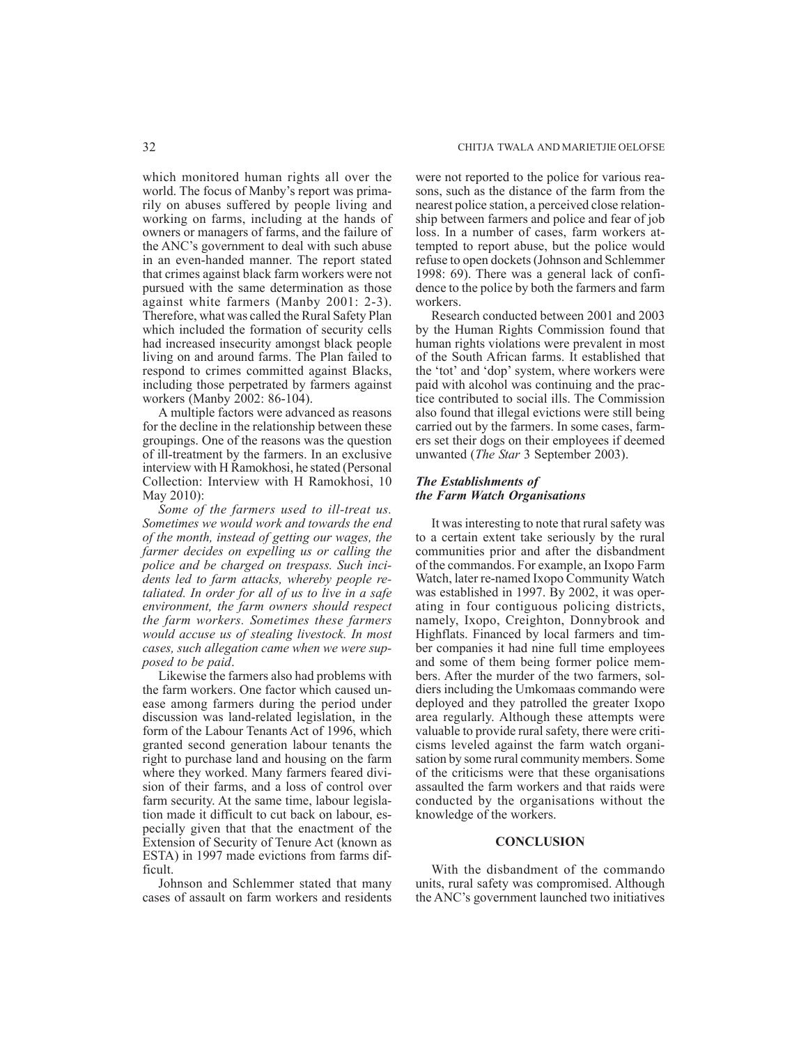which monitored human rights all over the world. The focus of Manby's report was primarily on abuses suffered by people living and working on farms, including at the hands of owners or managers of farms, and the failure of the ANC's government to deal with such abuse in an even-handed manner. The report stated that crimes against black farm workers were not pursued with the same determination as those against white farmers (Manby 2001: 2-3). Therefore, what was called the Rural Safety Plan which included the formation of security cells had increased insecurity amongst black people living on and around farms. The Plan failed to respond to crimes committed against Blacks, including those perpetrated by farmers against workers (Manby 2002: 86-104).

A multiple factors were advanced as reasons for the decline in the relationship between these groupings. One of the reasons was the question of ill-treatment by the farmers. In an exclusive interview with H Ramokhosi, he stated (Personal Collection: Interview with H Ramokhosi, 10 May 2010):

*Some of the farmers used to ill-treat us. Sometimes we would work and towards the end of the month, instead of getting our wages, the farmer decides on expelling us or calling the police and be charged on trespass. Such incidents led to farm attacks, whereby people retaliated. In order for all of us to live in a safe environment, the farm owners should respect the farm workers. Sometimes these farmers would accuse us of stealing livestock. In most cases, such allegation came when we were supposed to be paid*.

Likewise the farmers also had problems with the farm workers. One factor which caused unease among farmers during the period under discussion was land-related legislation, in the form of the Labour Tenants Act of 1996, which granted second generation labour tenants the right to purchase land and housing on the farm where they worked. Many farmers feared division of their farms, and a loss of control over farm security. At the same time, labour legislation made it difficult to cut back on labour, especially given that that the enactment of the Extension of Security of Tenure Act (known as ESTA) in 1997 made evictions from farms difficult.

Johnson and Schlemmer stated that many cases of assault on farm workers and residents were not reported to the police for various reasons, such as the distance of the farm from the nearest police station, a perceived close relationship between farmers and police and fear of job loss. In a number of cases, farm workers attempted to report abuse, but the police would refuse to open dockets (Johnson and Schlemmer 1998: 69). There was a general lack of confidence to the police by both the farmers and farm workers.

Research conducted between 2001 and 2003 by the Human Rights Commission found that human rights violations were prevalent in most of the South African farms. It established that the 'tot' and 'dop' system, where workers were paid with alcohol was continuing and the practice contributed to social ills. The Commission also found that illegal evictions were still being carried out by the farmers. In some cases, farmers set their dogs on their employees if deemed unwanted (*The Star* 3 September 2003).

# *The Establishments of the Farm Watch Organisations*

It was interesting to note that rural safety was to a certain extent take seriously by the rural communities prior and after the disbandment of the commandos. For example, an Ixopo Farm Watch, later re-named Ixopo Community Watch was established in 1997. By 2002, it was operating in four contiguous policing districts, namely, Ixopo, Creighton, Donnybrook and Highflats. Financed by local farmers and timber companies it had nine full time employees and some of them being former police members. After the murder of the two farmers, soldiers including the Umkomaas commando were deployed and they patrolled the greater Ixopo area regularly. Although these attempts were valuable to provide rural safety, there were criticisms leveled against the farm watch organisation by some rural community members. Some of the criticisms were that these organisations assaulted the farm workers and that raids were conducted by the organisations without the knowledge of the workers.

#### **CONCLUSION**

With the disbandment of the commando units, rural safety was compromised. Although the ANC's government launched two initiatives